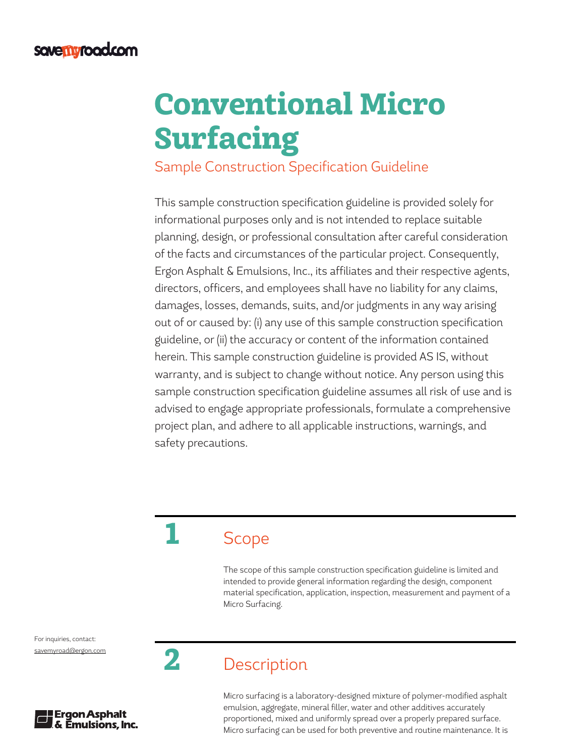# Conventional Micro Surfacing

Sample Construction Specification Guideline

This sample construction specification guideline is provided solely for informational purposes only and is not intended to replace suitable planning, design, or professional consultation after careful consideration of the facts and circumstances of the particular project. Consequently, Ergon Asphalt & Emulsions, Inc., its affiliates and their respective agents, directors, officers, and employees shall have no liability for any claims, damages, losses, demands, suits, and/or judgments in any way arising out of or caused by: (i) any use of this sample construction specification guideline, or (ii) the accuracy or content of the information contained herein. This sample construction guideline is provided AS IS, without warranty, and is subject to change without notice. Any person using this sample construction specification guideline assumes all risk of use and is advised to engage appropriate professionals, formulate a comprehensive project plan, and adhere to all applicable instructions, warnings, and safety precautions.

## **Scope**

The scope of this sample construction specification guideline is limited and intended to provide general information regarding the design, component material specification, application, inspection, measurement and payment of a Micro Surfacing.

For inquiries, contact: [savemyroad@ergon.com](mailto:savemyroad%40ergon.com?subject=)



## 2 Description

Micro surfacing is a laboratory-designed mixture of polymer-modified asphalt emulsion, aggregate, mineral filler, water and other additives accurately proportioned, mixed and uniformly spread over a properly prepared surface. Micro surfacing can be used for both preventive and routine maintenance. It is

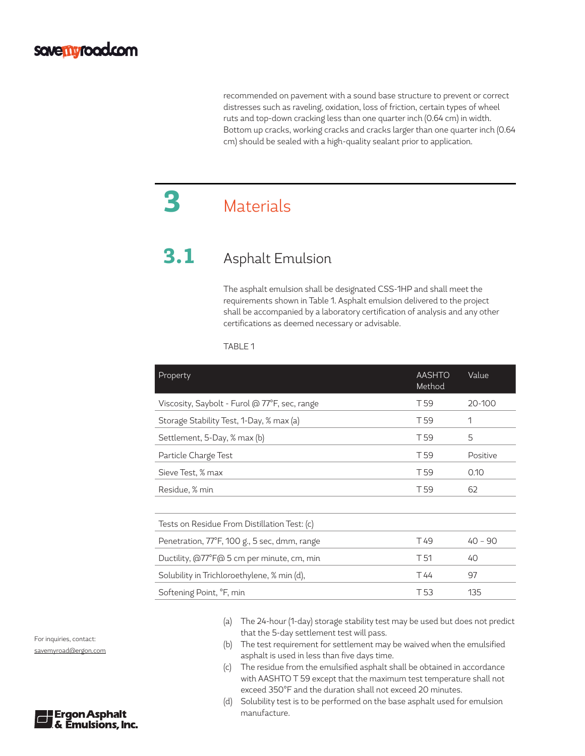recommended on pavement with a sound base structure to prevent or correct distresses such as raveling, oxidation, loss of friction, certain types of wheel ruts and top-down cracking less than one quarter inch (0.64 cm) in width. Bottom up cracks, working cracks and cracks larger than one quarter inch (0.64 cm) should be sealed with a high-quality sealant prior to application.

## 3 Materials

## 3.1 Asphalt Emulsion

The asphalt emulsion shall be designated CSS-1HP and shall meet the requirements shown in Table 1. Asphalt emulsion delivered to the project shall be accompanied by a laboratory certification of analysis and any other certifications as deemed necessary or advisable.

TABLE 1

| Property                                      | <b>AASHTO</b><br>Method | Value     |
|-----------------------------------------------|-------------------------|-----------|
| Viscosity, Saybolt - Furol @ 77°F, sec, range | T <sub>59</sub>         | 20-100    |
| Storage Stability Test, 1-Day, % max (a)      | T <sub>59</sub>         | 1         |
| Settlement, 5-Day, % max (b)                  | T <sub>59</sub>         | 5         |
| Particle Charge Test                          | T <sub>59</sub>         | Positive  |
| Sieve Test, % max                             | T <sub>59</sub>         | 0.10      |
| Residue, % min                                | T <sub>59</sub>         | 62        |
|                                               |                         |           |
| Tests on Residue From Distillation Test: (c)  |                         |           |
| Penetration, 77°F, 100 g., 5 sec, dmm, range  | T <sub>49</sub>         | $40 - 90$ |
| Ductility, @77°F@ 5 cm per minute, cm, min    | T <sub>51</sub>         | 40        |
| Solubility in Trichloroethylene, % min (d),   | T 44                    | 97        |
| Softening Point, <sup>o</sup> F, min          | T <sub>53</sub>         | 135       |

- (a) The 24-hour (1-day) storage stability test may be used but does not predict that the 5-day settlement test will pass.
- (b) The test requirement for settlement may be waived when the emulsified asphalt is used in less than five days time.
- (c) The residue from the emulsified asphalt shall be obtained in accordance with AASHTO T 59 except that the maximum test temperature shall not exceed 350°F and the duration shall not exceed 20 minutes.
- (d) Solubility test is to be performed on the base asphalt used for emulsion manufacture.

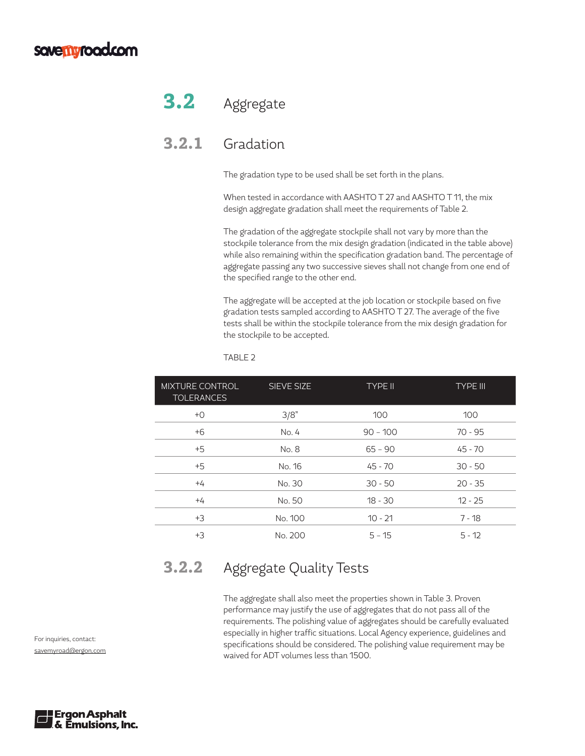#### **savemyroad.com**

## 3.2 Aggregate

#### 3.2.1 Gradation

The gradation type to be used shall be set forth in the plans.

When tested in accordance with AASHTO T 27 and AASHTO T 11, the mix design aggregate gradation shall meet the requirements of Table 2.

The gradation of the aggregate stockpile shall not vary by more than the stockpile tolerance from the mix design gradation (indicated in the table above) while also remaining within the specification gradation band. The percentage of aggregate passing any two successive sieves shall not change from one end of the specified range to the other end.

The aggregate will be accepted at the job location or stockpile based on five gradation tests sampled according to AASHTO T 27. The average of the five tests shall be within the stockpile tolerance from the mix design gradation for the stockpile to be accepted.

| <b>MIXTURE CONTROL</b><br><b>TOLERANCES</b> | SIEVE SIZE | <b>TYPE II</b> | <b>TYPE III</b> |
|---------------------------------------------|------------|----------------|-----------------|
| $+O$                                        | 3/8"       | 100            | 100             |
| $+6$                                        | No. 4      | $90 - 100$     | 70 - 95         |
| $+5$                                        | No. 8      | $65 - 90$      | $45 - 70$       |
| $+5$                                        | No. 16     | $45 - 70$      | $30 - 50$       |
| $+4$                                        | No. 30     | $30 - 50$      | $20 - 35$       |
| $+4$                                        | No. 50     | $18 - 30$      | $12 - 25$       |
| $+3$                                        | No. 100    | $10 - 21$      | $7 - 18$        |
| $+3$                                        | No. 200    | $5 - 15$       | $5 - 12$        |

#### TABLE 2

#### 3.2.2 Aggregate Quality Tests

The aggregate shall also meet the properties shown in Table 3. Proven performance may justify the use of aggregates that do not pass all of the requirements. The polishing value of aggregates should be carefully evaluated especially in higher traffic situations. Local Agency experience, guidelines and specifications should be considered. The polishing value requirement may be waived for ADT volumes less than 1500.

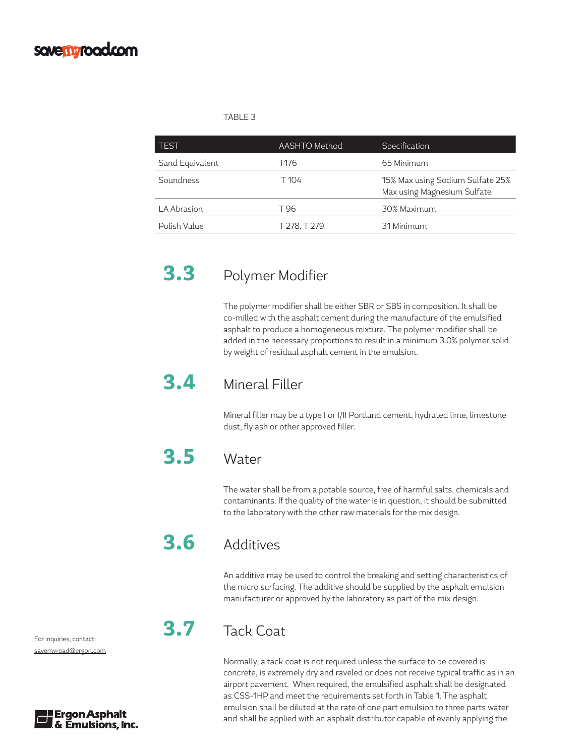#### savemyroad.com

#### TABLE 3

| TEST            | <b>AASHTO</b> Method | Specification                                                   |
|-----------------|----------------------|-----------------------------------------------------------------|
| Sand Equivalent | T176                 | 65 Minimum                                                      |
| Soundness       | T 104                | 15% Max using Sodium Sulfate 25%<br>Max using Magnesium Sulfate |
| LA Abrasion     | T 96                 | 30% Maximum                                                     |
| Polish Value    | T 278, T 279         | 31 Minimum                                                      |

#### 3.3 Polymer Modifier

The polymer modifier shall be either SBR or SBS in composition. It shall be co-milled with the asphalt cement during the manufacture of the emulsified asphalt to produce a homogeneous mixture. The polymer modifier shall be added in the necessary proportions to result in a minimum 3.0% polymer solid by weight of residual asphalt cement in the emulsion.

#### 3.4 Mineral Filler

Mineral filler may be a type I or I/II Portland cement, hydrated lime, limestone dust, fly ash or other approved filler.

#### 3.5 Water

The water shall be from a potable source, free of harmful salts, chemicals and contaminants. If the quality of the water is in question, it should be submitted to the laboratory with the other raw materials for the mix design.

#### 3.6 Additives

An additive may be used to control the breaking and setting characteristics of the micro surfacing. The additive should be supplied by the asphalt emulsion manufacturer or approved by the laboratory as part of the mix design.

#### 3.7 Tack Coat

Normally, a tack coat is not required unless the surface to be covered is concrete, is extremely dry and raveled or does not receive typical traffic as in an airport pavement. When required, the emulsified asphalt shall be designated as CSS-1HP and meet the requirements set forth in Table 1. The asphalt emulsion shall be diluted at the rate of one part emulsion to three parts water and shall be applied with an asphalt distributor capable of evenly applying the

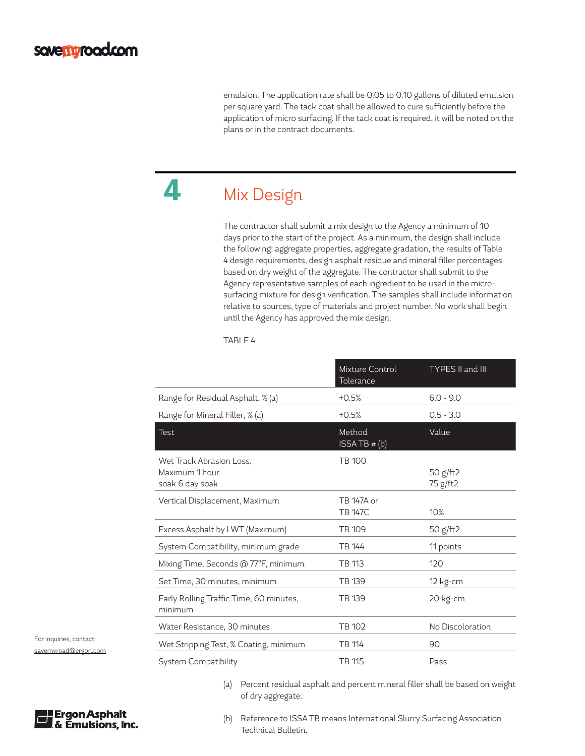emulsion. The application rate shall be 0.05 to 0.10 gallons of diluted emulsion per square yard. The tack coat shall be allowed to cure sufficiently before the application of micro surfacing. If the tack coat is required, it will be noted on the plans or in the contract documents.

## 4 Mix Design

The contractor shall submit a mix design to the Agency a minimum of 10 days prior to the start of the project. As a minimum, the design shall include the following: aggregate properties, aggregate gradation, the results of Table 4 design requirements, design asphalt residue and mineral filler percentages based on dry weight of the aggregate. The contractor shall submit to the Agency representative samples of each ingredient to be used in the microsurfacing mixture for design verification. The samples shall include information relative to sources, type of materials and project number. No work shall begin until the Agency has approved the mix design.

#### TABLE 4

|                                                               | Mixture Control<br>Tolerance | TYPES II and III     |
|---------------------------------------------------------------|------------------------------|----------------------|
| Range for Residual Asphalt, % (a)                             | $+0.5%$                      | $6.0 - 9.0$          |
| Range for Mineral Filler, % (a)                               | $+0.5%$                      | $0.5 - 3.0$          |
| <b>Test</b>                                                   | Method<br>ISSA TB $# (b)$    | Value                |
| Wet Track Abrasion Loss,<br>Maximum 1 hour<br>soak 6 day soak | <b>TB 100</b>                | 50 g/ft2<br>75 g/ft2 |
| Vertical Displacement, Maximum                                | TB 147A or<br><b>TB 147C</b> | 10%                  |
| Excess Asphalt by LWT (Maximum)                               | TB 109                       | 50 g/ft2             |
| System Compatibility, minimum grade                           | TB 144                       | 11 points            |
| Mixing Time, Seconds @ 77°F, minimum                          | TB 113                       | 120                  |
| Set Time, 30 minutes, minimum                                 | TB 139                       | 12 kg-cm             |
| Early Rolling Traffic Time, 60 minutes,<br>minimum            | TB 139                       | 20 kg-cm             |
| Water Resistance, 30 minutes                                  | <b>TB 102</b>                | No Discoloration     |
| Wet Stripping Test, % Coating, minimum                        | TB 114                       | 90                   |
| System Compatibility                                          | TB 115                       | Pass                 |

(a) Percent residual asphalt and percent mineral filler shall be based on weight of dry aggregate.



For inquiries, contact:



(b) Reference to ISSA TB means International Slurry Surfacing Association Technical Bulletin.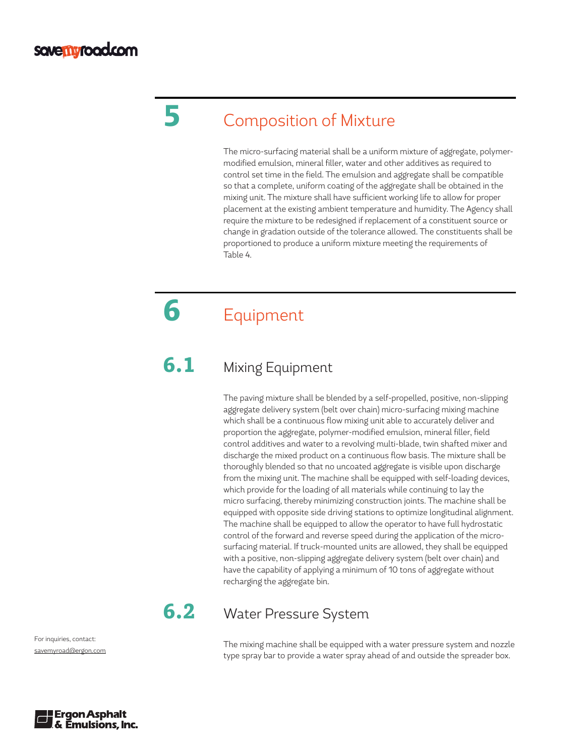## 5 Composition of Mixture

The micro-surfacing material shall be a uniform mixture of aggregate, polymermodified emulsion, mineral filler, water and other additives as required to control set time in the field. The emulsion and aggregate shall be compatible so that a complete, uniform coating of the aggregate shall be obtained in the mixing unit. The mixture shall have sufficient working life to allow for proper placement at the existing ambient temperature and humidity. The Agency shall require the mixture to be redesigned if replacement of a constituent source or change in gradation outside of the tolerance allowed. The constituents shall be proportioned to produce a uniform mixture meeting the requirements of Table 4.

## 6 Equipment

#### **6.1** Mixing Equipment

The paving mixture shall be blended by a self-propelled, positive, non-slipping aggregate delivery system (belt over chain) micro-surfacing mixing machine which shall be a continuous flow mixing unit able to accurately deliver and proportion the aggregate, polymer-modified emulsion, mineral filler, field control additives and water to a revolving multi-blade, twin shafted mixer and discharge the mixed product on a continuous flow basis. The mixture shall be thoroughly blended so that no uncoated aggregate is visible upon discharge from the mixing unit. The machine shall be equipped with self-loading devices, which provide for the loading of all materials while continuing to lay the micro surfacing, thereby minimizing construction joints. The machine shall be equipped with opposite side driving stations to optimize longitudinal alignment. The machine shall be equipped to allow the operator to have full hydrostatic control of the forward and reverse speed during the application of the microsurfacing material. If truck-mounted units are allowed, they shall be equipped with a positive, non-slipping aggregate delivery system (belt over chain) and have the capability of applying a minimum of 10 tons of aggregate without recharging the aggregate bin.

#### **6.2** Water Pressure System

The mixing machine shall be equipped with a water pressure system and nozzle type spray bar to provide a water spray ahead of and outside the spreader box.

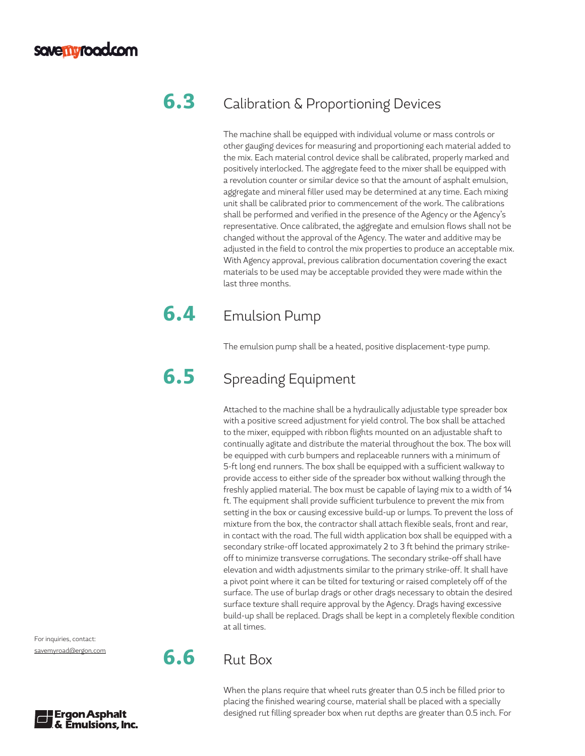#### **6.3** Calibration & Proportioning Devices

The machine shall be equipped with individual volume or mass controls or other gauging devices for measuring and proportioning each material added to the mix. Each material control device shall be calibrated, properly marked and positively interlocked. The aggregate feed to the mixer shall be equipped with a revolution counter or similar device so that the amount of asphalt emulsion, aggregate and mineral filler used may be determined at any time. Each mixing unit shall be calibrated prior to commencement of the work. The calibrations shall be performed and verified in the presence of the Agency or the Agency's representative. Once calibrated, the aggregate and emulsion flows shall not be changed without the approval of the Agency. The water and additive may be adjusted in the field to control the mix properties to produce an acceptable mix. With Agency approval, previous calibration documentation covering the exact materials to be used may be acceptable provided they were made within the last three months.

### **6.4** Emulsion Pump

The emulsion pump shall be a heated, positive displacement-type pump.

### **6.5** Spreading Equipment

Attached to the machine shall be a hydraulically adjustable type spreader box with a positive screed adjustment for yield control. The box shall be attached to the mixer, equipped with ribbon flights mounted on an adjustable shaft to continually agitate and distribute the material throughout the box. The box will be equipped with curb bumpers and replaceable runners with a minimum of 5-ft long end runners. The box shall be equipped with a sufficient walkway to provide access to either side of the spreader box without walking through the freshly applied material. The box must be capable of laying mix to a width of 14 ft. The equipment shall provide sufficient turbulence to prevent the mix from setting in the box or causing excessive build-up or lumps. To prevent the loss of mixture from the box, the contractor shall attach flexible seals, front and rear, in contact with the road. The full width application box shall be equipped with a secondary strike-off located approximately 2 to 3 ft behind the primary strikeoff to minimize transverse corrugations. The secondary strike-off shall have elevation and width adjustments similar to the primary strike-off. It shall have a pivot point where it can be tilted for texturing or raised completely off of the surface. The use of burlap drags or other drags necessary to obtain the desired surface texture shall require approval by the Agency. Drags having excessive build-up shall be replaced. Drags shall be kept in a completely flexible condition at all times.

For inquiries, contact: [savemyroad@ergon.com](mailto:savemyroad%40ergon.com?subject=)



When the plans require that wheel ruts greater than 0.5 inch be filled prior to placing the finished wearing course, material shall be placed with a specially designed rut filling spreader box when rut depths are greater than 0.5 inch. For

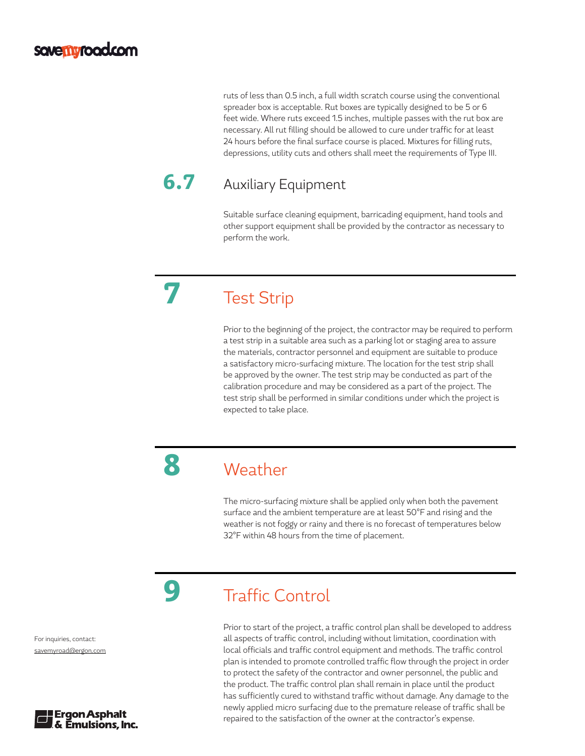ruts of less than 0.5 inch, a full width scratch course using the conventional spreader box is acceptable. Rut boxes are typically designed to be 5 or 6 feet wide. Where ruts exceed 1.5 inches, multiple passes with the rut box are necessary. All rut filling should be allowed to cure under traffic for at least 24 hours before the final surface course is placed. Mixtures for filling ruts, depressions, utility cuts and others shall meet the requirements of Type III.

### **6.7** Auxiliary Equipment

Suitable surface cleaning equipment, barricading equipment, hand tools and other support equipment shall be provided by the contractor as necessary to perform the work.

**Test Strip** 

Prior to the beginning of the project, the contractor may be required to perform a test strip in a suitable area such as a parking lot or staging area to assure the materials, contractor personnel and equipment are suitable to produce a satisfactory micro-surfacing mixture. The location for the test strip shall be approved by the owner. The test strip may be conducted as part of the calibration procedure and may be considered as a part of the project. The test strip shall be performed in similar conditions under which the project is expected to take place.

8 Weather

The micro-surfacing mixture shall be applied only when both the pavement surface and the ambient temperature are at least 50°F and rising and the weather is not foggy or rainy and there is no forecast of temperatures below 32°F within 48 hours from the time of placement.

## **9** Traffic Control

Prior to start of the project, a traffic control plan shall be developed to address all aspects of traffic control, including without limitation, coordination with local officials and traffic control equipment and methods. The traffic control plan is intended to promote controlled traffic flow through the project in order to protect the safety of the contractor and owner personnel, the public and the product. The traffic control plan shall remain in place until the product has sufficiently cured to withstand traffic without damage. Any damage to the newly applied micro surfacing due to the premature release of traffic shall be repaired to the satisfaction of the owner at the contractor's expense.

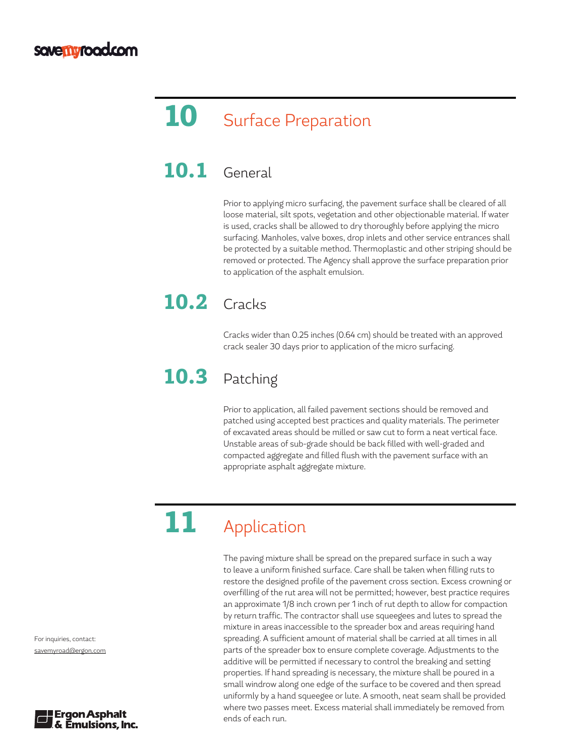## 10 Surface Preparation

#### **10.1** General

Prior to applying micro surfacing, the pavement surface shall be cleared of all loose material, silt spots, vegetation and other objectionable material. If water is used, cracks shall be allowed to dry thoroughly before applying the micro surfacing. Manholes, valve boxes, drop inlets and other service entrances shall be protected by a suitable method. Thermoplastic and other striping should be removed or protected. The Agency shall approve the surface preparation prior to application of the asphalt emulsion.

## **10.2** Cracks

Cracks wider than 0.25 inches (0.64 cm) should be treated with an approved crack sealer 30 days prior to application of the micro surfacing.

### 10.3 Patching

Prior to application, all failed pavement sections should be removed and patched using accepted best practices and quality materials. The perimeter of excavated areas should be milled or saw cut to form a neat vertical face. Unstable areas of sub-grade should be back filled with well-graded and compacted aggregate and filled flush with the pavement surface with an appropriate asphalt aggregate mixture.

## 11 Application

The paving mixture shall be spread on the prepared surface in such a way to leave a uniform finished surface. Care shall be taken when filling ruts to restore the designed profile of the pavement cross section. Excess crowning or overfilling of the rut area will not be permitted; however, best practice requires an approximate 1/8 inch crown per 1 inch of rut depth to allow for compaction by return traffic. The contractor shall use squeegees and lutes to spread the mixture in areas inaccessible to the spreader box and areas requiring hand spreading. A sufficient amount of material shall be carried at all times in all parts of the spreader box to ensure complete coverage. Adjustments to the additive will be permitted if necessary to control the breaking and setting properties. If hand spreading is necessary, the mixture shall be poured in a small windrow along one edge of the surface to be covered and then spread uniformly by a hand squeegee or lute. A smooth, neat seam shall be provided where two passes meet. Excess material shall immediately be removed from ends of each run.

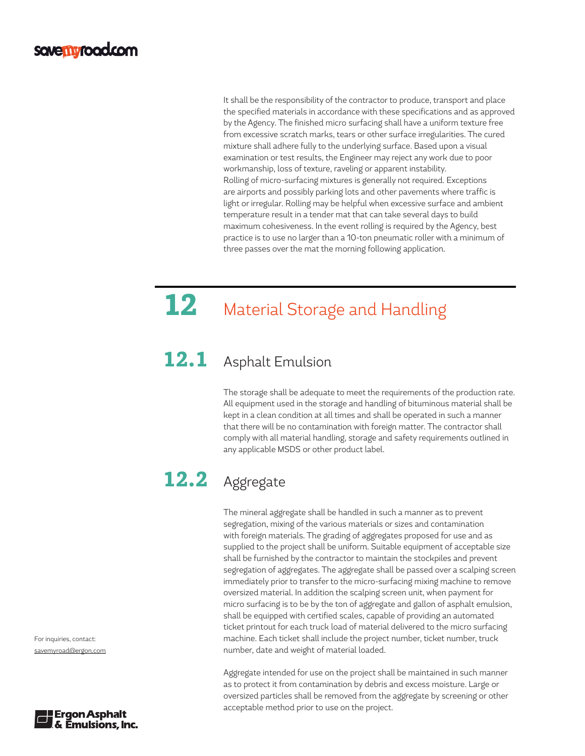It shall be the responsibility of the contractor to produce, transport and place the specified materials in accordance with these specifications and as approved by the Agency. The finished micro surfacing shall have a uniform texture free from excessive scratch marks, tears or other surface irregularities. The cured mixture shall adhere fully to the underlying surface. Based upon a visual examination or test results, the Engineer may reject any work due to poor workmanship, loss of texture, raveling or apparent instability. Rolling of micro-surfacing mixtures is generally not required. Exceptions are airports and possibly parking lots and other pavements where traffic is light or irregular. Rolling may be helpful when excessive surface and ambient temperature result in a tender mat that can take several days to build maximum cohesiveness. In the event rolling is required by the Agency, best practice is to use no larger than a 10-ton pneumatic roller with a minimum of three passes over the mat the morning following application.

## **12** Material Storage and Handling

#### 12.1 Asphalt Emulsion

The storage shall be adequate to meet the requirements of the production rate. All equipment used in the storage and handling of bituminous material shall be kept in a clean condition at all times and shall be operated in such a manner that there will be no contamination with foreign matter. The contractor shall comply with all material handling, storage and safety requirements outlined in any applicable MSDS or other product label.

## 12.2 Aggregate

The mineral aggregate shall be handled in such a manner as to prevent segregation, mixing of the various materials or sizes and contamination with foreign materials. The grading of aggregates proposed for use and as supplied to the project shall be uniform. Suitable equipment of acceptable size shall be furnished by the contractor to maintain the stockpiles and prevent segregation of aggregates. The aggregate shall be passed over a scalping screen immediately prior to transfer to the micro-surfacing mixing machine to remove oversized material. In addition the scalping screen unit, when payment for micro surfacing is to be by the ton of aggregate and gallon of asphalt emulsion, shall be equipped with certified scales, capable of providing an automated ticket printout for each truck load of material delivered to the micro surfacing machine. Each ticket shall include the project number, ticket number, truck number, date and weight of material loaded.

Aggregate intended for use on the project shall be maintained in such manner as to protect it from contamination by debris and excess moisture. Large or oversized particles shall be removed from the aggregate by screening or other acceptable method prior to use on the project.

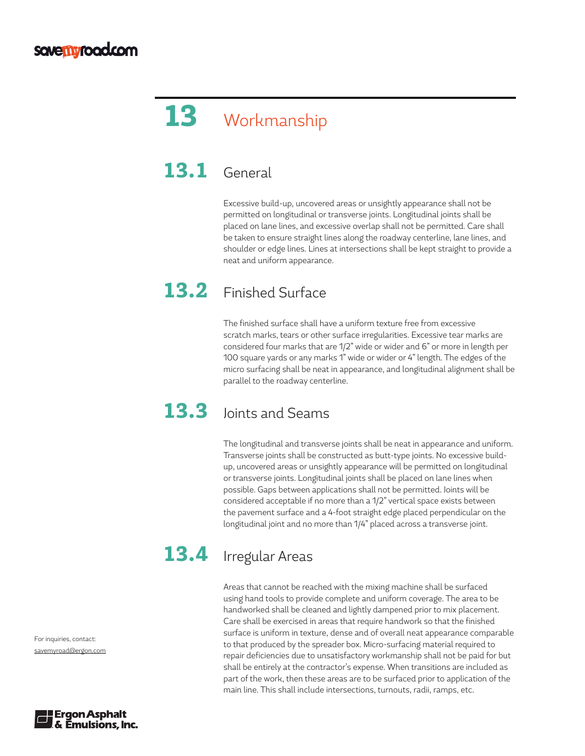# 13 Workmanship

#### **13.1** General

Excessive build-up, uncovered areas or unsightly appearance shall not be permitted on longitudinal or transverse joints. Longitudinal joints shall be placed on lane lines, and excessive overlap shall not be permitted. Care shall be taken to ensure straight lines along the roadway centerline, lane lines, and shoulder or edge lines. Lines at intersections shall be kept straight to provide a neat and uniform appearance.

#### 13.2 Finished Surface

The finished surface shall have a uniform texture free from excessive scratch marks, tears or other surface irregularities. Excessive tear marks are considered four marks that are 1/2" wide or wider and 6" or more in length per 100 square yards or any marks 1" wide or wider or 4" length. The edges of the micro surfacing shall be neat in appearance, and longitudinal alignment shall be parallel to the roadway centerline.

### 13.3 Joints and Seams

The longitudinal and transverse joints shall be neat in appearance and uniform. Transverse joints shall be constructed as butt-type joints. No excessive buildup, uncovered areas or unsightly appearance will be permitted on longitudinal or transverse joints. Longitudinal joints shall be placed on lane lines when possible. Gaps between applications shall not be permitted. Joints will be considered acceptable if no more than a 1/2" vertical space exists between the pavement surface and a 4-foot straight edge placed perpendicular on the longitudinal joint and no more than 1/4" placed across a transverse joint.

## 13.4 Irregular Areas

Areas that cannot be reached with the mixing machine shall be surfaced using hand tools to provide complete and uniform coverage. The area to be handworked shall be cleaned and lightly dampened prior to mix placement. Care shall be exercised in areas that require handwork so that the finished surface is uniform in texture, dense and of overall neat appearance comparable to that produced by the spreader box. Micro-surfacing material required to repair deficiencies due to unsatisfactory workmanship shall not be paid for but shall be entirely at the contractor's expense. When transitions are included as part of the work, then these areas are to be surfaced prior to application of the main line. This shall include intersections, turnouts, radii, ramps, etc.